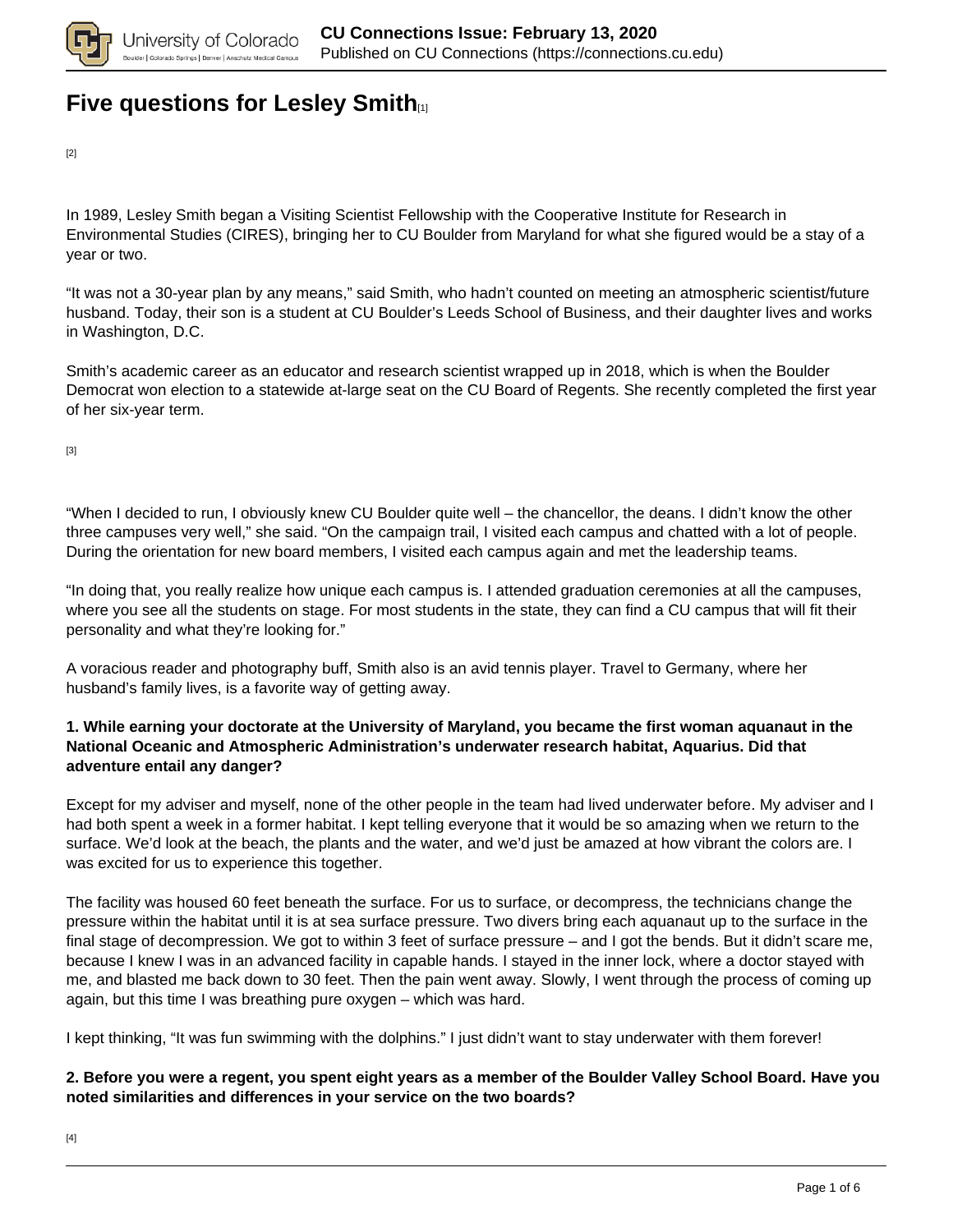

## **[Five questions for Lesley Smith](https://connections.cu.edu/spotlights/five-questions-lesley-smith)**[1]

[2]

In 1989, Lesley Smith began a Visiting Scientist Fellowship with the Cooperative Institute for Research in Environmental Studies (CIRES), bringing her to CU Boulder from Maryland for what she figured would be a stay of a year or two.

"It was not a 30-year plan by any means," said Smith, who hadn't counted on meeting an atmospheric scientist/future husband. Today, their son is a student at CU Boulder's Leeds School of Business, and their daughter lives and works in Washington, D.C.

Smith's academic career as an educator and research scientist wrapped up in 2018, which is when the Boulder Democrat won election to a statewide at-large seat on the CU Board of Regents. She recently completed the first year of her six-year term.

[3]

"When I decided to run, I obviously knew CU Boulder quite well – the chancellor, the deans. I didn't know the other three campuses very well," she said. "On the campaign trail, I visited each campus and chatted with a lot of people. During the orientation for new board members, I visited each campus again and met the leadership teams.

"In doing that, you really realize how unique each campus is. I attended graduation ceremonies at all the campuses, where you see all the students on stage. For most students in the state, they can find a CU campus that will fit their personality and what they're looking for."

A voracious reader and photography buff, Smith also is an avid tennis player. Travel to Germany, where her husband's family lives, is a favorite way of getting away.

#### **1. While earning your doctorate at the University of Maryland, you became the first woman aquanaut in the National Oceanic and Atmospheric Administration's underwater research habitat, Aquarius. Did that adventure entail any danger?**

Except for my adviser and myself, none of the other people in the team had lived underwater before. My adviser and I had both spent a week in a former habitat. I kept telling everyone that it would be so amazing when we return to the surface. We'd look at the beach, the plants and the water, and we'd just be amazed at how vibrant the colors are. I was excited for us to experience this together.

The facility was housed 60 feet beneath the surface. For us to surface, or decompress, the technicians change the pressure within the habitat until it is at sea surface pressure. Two divers bring each aquanaut up to the surface in the final stage of decompression. We got to within 3 feet of surface pressure – and I got the bends. But it didn't scare me, because I knew I was in an advanced facility in capable hands. I stayed in the inner lock, where a doctor stayed with me, and blasted me back down to 30 feet. Then the pain went away. Slowly, I went through the process of coming up again, but this time I was breathing pure oxygen – which was hard.

I kept thinking, "It was fun swimming with the dolphins." I just didn't want to stay underwater with them forever!

#### **2. Before you were a regent, you spent eight years as a member of the Boulder Valley School Board. Have you noted similarities and differences in your service on the two boards?**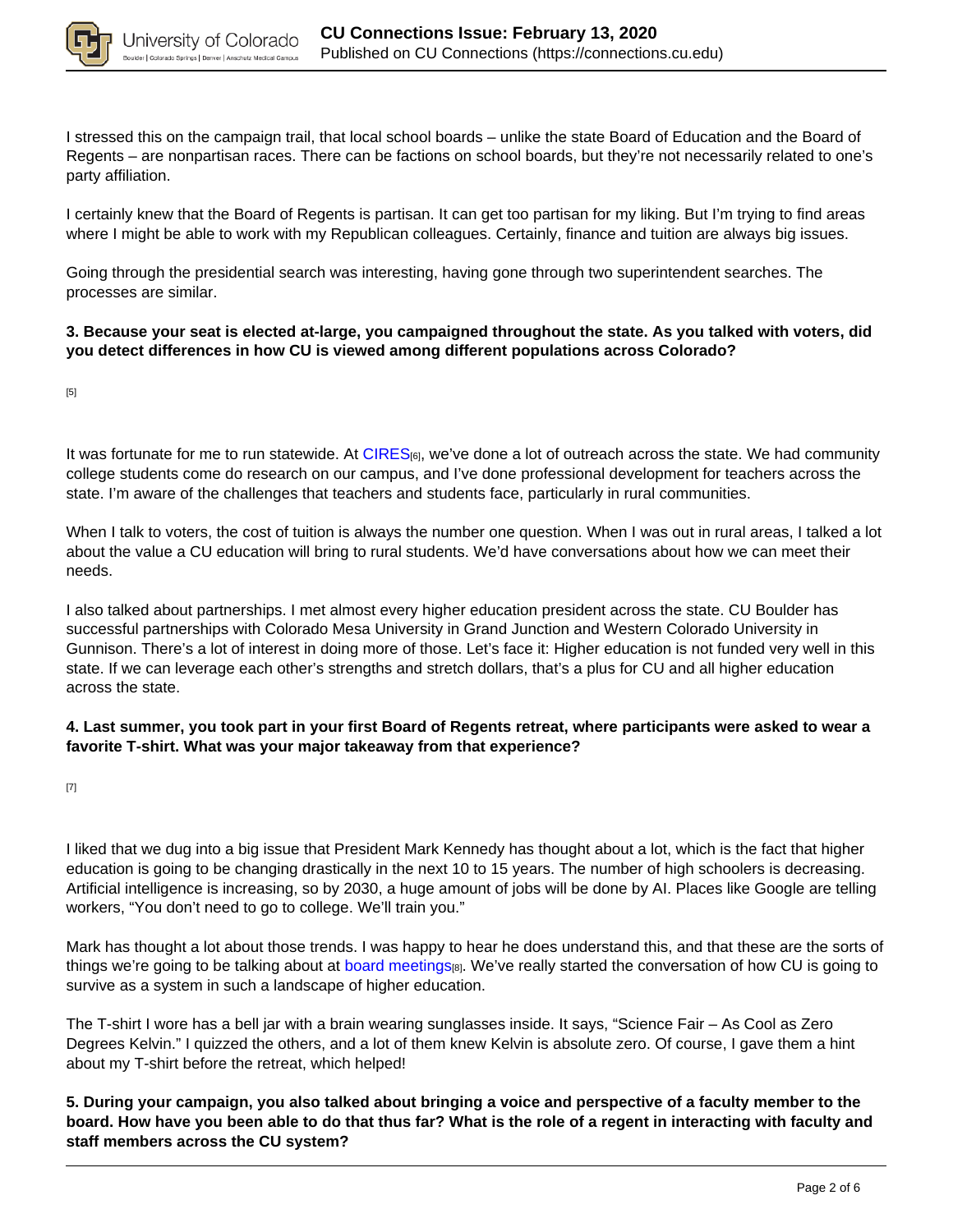

I stressed this on the campaign trail, that local school boards – unlike the state Board of Education and the Board of Regents – are nonpartisan races. There can be factions on school boards, but they're not necessarily related to one's party affiliation.

I certainly knew that the Board of Regents is partisan. It can get too partisan for my liking. But I'm trying to find areas where I might be able to work with my Republican colleagues. Certainly, finance and tuition are always big issues.

Going through the presidential search was interesting, having gone through two superintendent searches. The processes are similar.

#### **3. Because your seat is elected at-large, you campaigned throughout the state. As you talked with voters, did you detect differences in how CU is viewed among different populations across Colorado?**

[5]

It was fortunate for me to run statewide. At CIRES<sup>[6]</sup>, we've done a lot of outreach across the state. We had community college students come do research on our campus, and I've done professional development for teachers across the state. I'm aware of the challenges that teachers and students face, particularly in rural communities.

When I talk to voters, the cost of tuition is always the number one question. When I was out in rural areas, I talked a lot about the value a CU education will bring to rural students. We'd have conversations about how we can meet their needs.

I also talked about partnerships. I met almost every higher education president across the state. CU Boulder has successful partnerships with Colorado Mesa University in Grand Junction and Western Colorado University in Gunnison. There's a lot of interest in doing more of those. Let's face it: Higher education is not funded very well in this state. If we can leverage each other's strengths and stretch dollars, that's a plus for CU and all higher education across the state.

#### **4. Last summer, you took part in your first Board of Regents retreat, where participants were asked to wear a favorite T-shirt. What was your major takeaway from that experience?**

[7]

I liked that we dug into a big issue that President Mark Kennedy has thought about a lot, which is the fact that higher education is going to be changing drastically in the next 10 to 15 years. The number of high schoolers is decreasing. Artificial intelligence is increasing, so by 2030, a huge amount of jobs will be done by AI. Places like Google are telling workers, "You don't need to go to college. We'll train you."

Mark has thought a lot about those trends. I was happy to hear he does understand this, and that these are the sorts of things we're going to be talking about at board meetings[8]. We've really started the conversation of how CU is going to survive as a system in such a landscape of higher education.

The T-shirt I wore has a bell jar with a brain wearing sunglasses inside. It says, "Science Fair – As Cool as Zero Degrees Kelvin." I quizzed the others, and a lot of them knew Kelvin is absolute zero. Of course, I gave them a hint about my T-shirt before the retreat, which helped!

**5. During your campaign, you also talked about bringing a voice and perspective of a faculty member to the board. How have you been able to do that thus far? What is the role of a regent in interacting with faculty and staff members across the CU system?**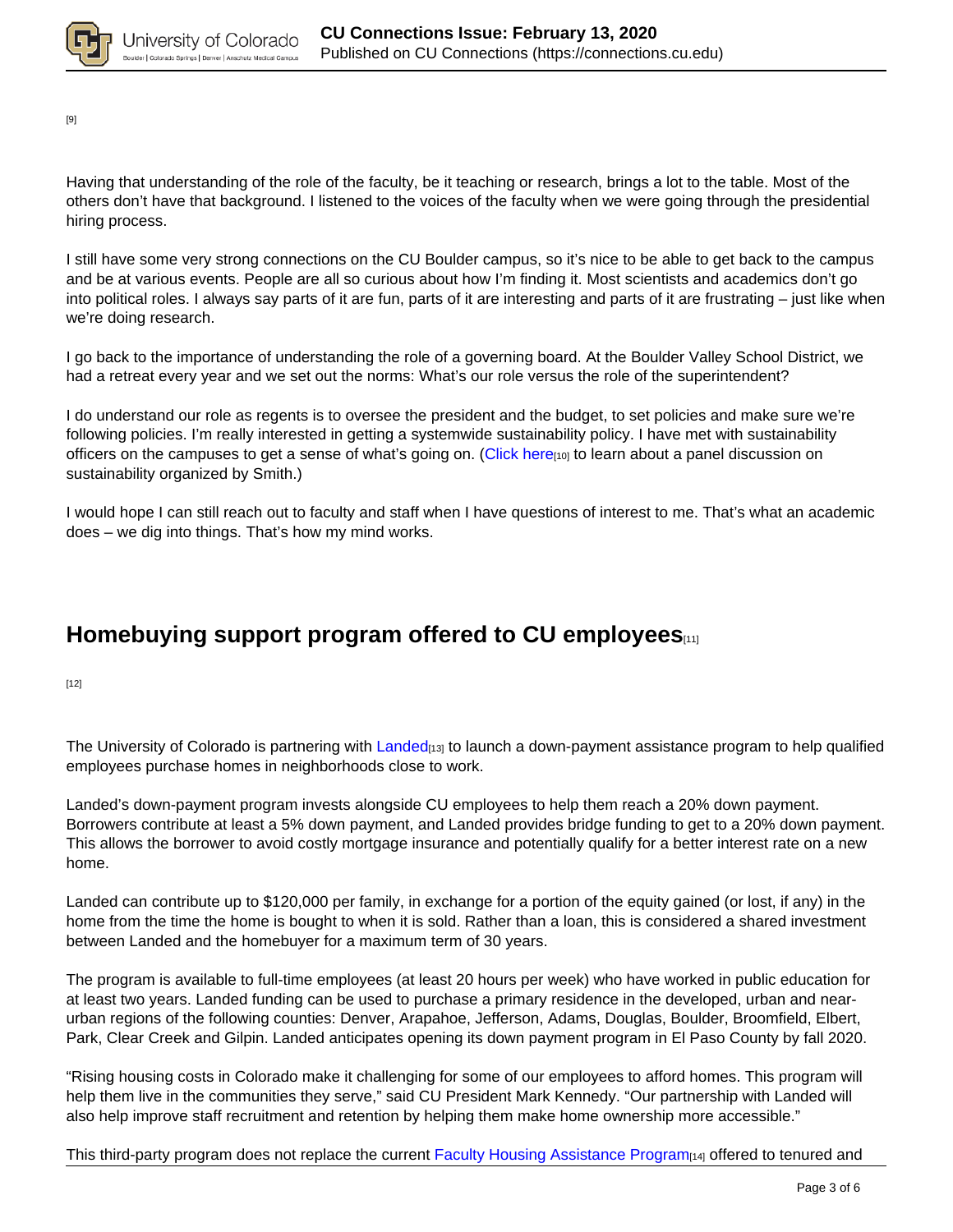

[9]

Having that understanding of the role of the faculty, be it teaching or research, brings a lot to the table. Most of the others don't have that background. I listened to the voices of the faculty when we were going through the presidential hiring process.

I still have some very strong connections on the CU Boulder campus, so it's nice to be able to get back to the campus and be at various events. People are all so curious about how I'm finding it. Most scientists and academics don't go into political roles. I always say parts of it are fun, parts of it are interesting and parts of it are frustrating – just like when we're doing research.

I go back to the importance of understanding the role of a governing board. At the Boulder Valley School District, we had a retreat every year and we set out the norms: What's our role versus the role of the superintendent?

I do understand our role as regents is to oversee the president and the budget, to set policies and make sure we're following policies. I'm really interested in getting a systemwide sustainability policy. I have met with sustainability officers on the campuses to get a sense of what's going on. (Click here<sub>[10]</sub> to learn about a panel discussion on sustainability organized by Smith.)

I would hope I can still reach out to faculty and staff when I have questions of interest to me. That's what an academic does – we dig into things. That's how my mind works.

# **Homebuying support program offered to CU employees**[11]

 $[12]$ 

The University of Colorado is partnering with Landed<sub>[13]</sub> to launch a down-payment assistance program to help qualified employees purchase homes in neighborhoods close to work.

Landed's down-payment program invests alongside CU employees to help them reach a 20% down payment. Borrowers contribute at least a 5% down payment, and Landed provides bridge funding to get to a 20% down payment. This allows the borrower to avoid costly mortgage insurance and potentially qualify for a better interest rate on a new home.

Landed can contribute up to \$120,000 per family, in exchange for a portion of the equity gained (or lost, if any) in the home from the time the home is bought to when it is sold. Rather than a loan, this is considered a shared investment between Landed and the homebuyer for a maximum term of 30 years.

The program is available to full-time employees (at least 20 hours per week) who have worked in public education for at least two years. Landed funding can be used to purchase a primary residence in the developed, urban and nearurban regions of the following counties: Denver, Arapahoe, Jefferson, Adams, Douglas, Boulder, Broomfield, Elbert, Park, Clear Creek and Gilpin. Landed anticipates opening its down payment program in El Paso County by fall 2020.

"Rising housing costs in Colorado make it challenging for some of our employees to afford homes. This program will help them live in the communities they serve," said CU President Mark Kennedy. "Our partnership with Landed will also help improve staff recruitment and retention by helping them make home ownership more accessible."

This third-party program does not replace the current Faculty Housing Assistance Program<sub>[14]</sub> offered to tenured and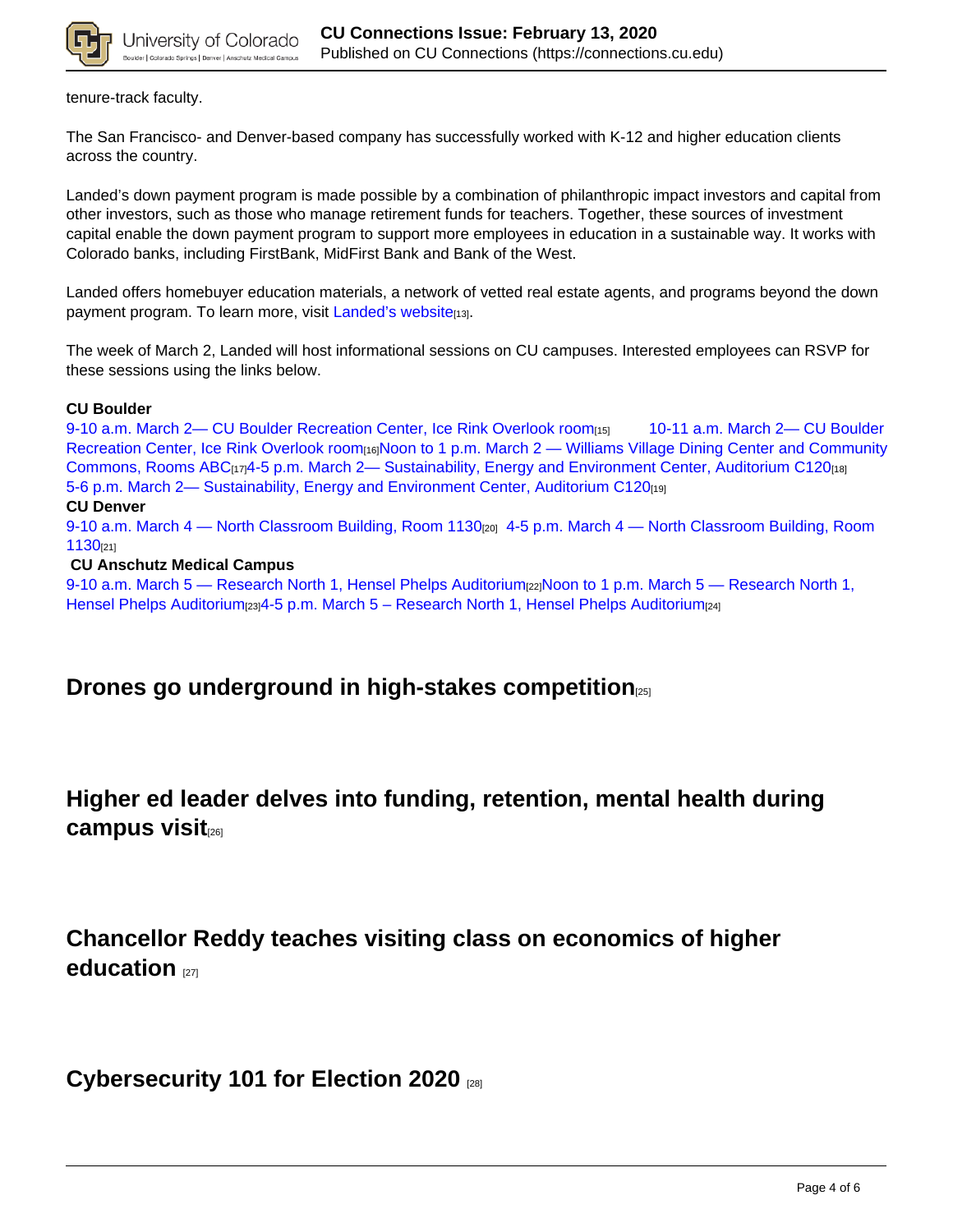

tenure-track faculty.

The San Francisco- and Denver-based company has successfully worked with K-12 and higher education clients across the country.

Landed's down payment program is made possible by a combination of philanthropic impact investors and capital from other investors, such as those who manage retirement funds for teachers. Together, these sources of investment capital enable the down payment program to support more employees in education in a sustainable way. It works with Colorado banks, including FirstBank, MidFirst Bank and Bank of the West.

Landed offers homebuyer education materials, a network of vetted real estate agents, and programs beyond the down payment program. To learn more, visit Landed's website[13].

The week of March 2, Landed will host informational sessions on CU campuses. Interested employees can RSVP for these sessions using the links below.

#### **CU Boulder**

9-10 a.m. March 2— CU Boulder Recreation Center, Ice Rink Overlook room<sub>[15]</sub> 10-11 a.m. March 2— CU Boulder Recreation Center, Ice Rink Overlook room<sub>[16]</sub>Noon to 1 p.m. March 2 — Williams Village Dining Center and Community Commons, Rooms ABC<sub>[17]</sub>4-5 p.m. March 2- Sustainability, Energy and Environment Center, Auditorium C120<sub>[18]</sub> 5-6 p.m. March 2- Sustainability, Energy and Environment Center, Auditorium C120<sub>[19]</sub>

#### **CU Denver**

9-10 a.m. March 4 — North Classroom Building, Room 1130<sub>[20]</sub> 4-5 p.m. March 4 — North Classroom Building, Room 1130[21]

#### **CU Anschutz Medical Campus**

9-10 a.m. March 5 — Research North 1, Hensel Phelps Auditorium[22]Noon to 1 p.m. March 5 — Research North 1, Hensel Phelps Auditorium<sub>[23]</sub>4-5 p.m. March 5 – Research North 1, Hensel Phelps Auditorium<sub>[24]</sub>

### **Drones go underground in high-stakes competition**[25]

## **Higher ed leader delves into funding, retention, mental health during campus visit**[26]

**Chancellor Reddy teaches visiting class on economics of higher education** [27]

### **Cybersecurity 101 for Election 2020** [28]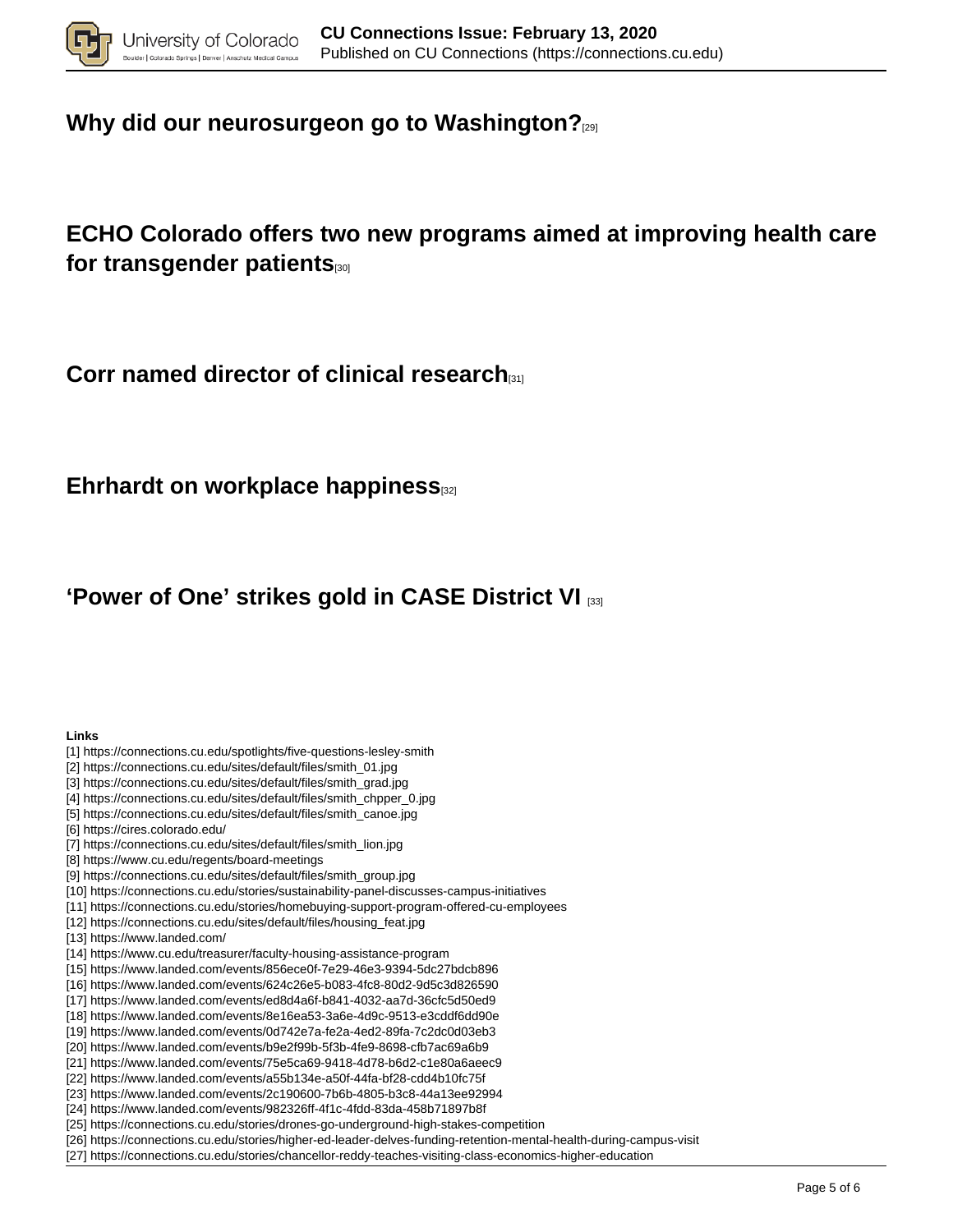

### **Why did our neurosurgeon go to Washington?**[29]

**ECHO Colorado offers two new programs aimed at improving health care for transgender patients**[30]

**Corr named director of clinical research**[31]

**Ehrhardt on workplace happiness** 

# **'Power of One' strikes gold in CASE District VI** [33]

#### **Links**

- [1] https://connections.cu.edu/spotlights/five-questions-lesley-smith
- [2] https://connections.cu.edu/sites/default/files/smith\_01.jpg
- [3] https://connections.cu.edu/sites/default/files/smith\_grad.jpg
- [4] https://connections.cu.edu/sites/default/files/smith\_chpper\_0.jpg
- [5] https://connections.cu.edu/sites/default/files/smith\_canoe.jpg
- [6] https://cires.colorado.edu/
- [7] https://connections.cu.edu/sites/default/files/smith\_lion.jpg
- [8] https://www.cu.edu/regents/board-meetings
- [9] https://connections.cu.edu/sites/default/files/smith\_group.jpg
- [10] https://connections.cu.edu/stories/sustainability-panel-discusses-campus-initiatives
- [11] https://connections.cu.edu/stories/homebuying-support-program-offered-cu-employees
- [12] https://connections.cu.edu/sites/default/files/housing\_feat.jpg
- [13] https://www.landed.com/
- [14] https://www.cu.edu/treasurer/faculty-housing-assistance-program
- [15] https://www.landed.com/events/856ece0f-7e29-46e3-9394-5dc27bdcb896
- [16] https://www.landed.com/events/624c26e5-b083-4fc8-80d2-9d5c3d826590
- [17] https://www.landed.com/events/ed8d4a6f-b841-4032-aa7d-36cfc5d50ed9
- [18] https://www.landed.com/events/8e16ea53-3a6e-4d9c-9513-e3cddf6dd90e
- [19] https://www.landed.com/events/0d742e7a-fe2a-4ed2-89fa-7c2dc0d03eb3
- [20] https://www.landed.com/events/b9e2f99b-5f3b-4fe9-8698-cfb7ac69a6b9
- [21] https://www.landed.com/events/75e5ca69-9418-4d78-b6d2-c1e80a6aeec9
- [22] https://www.landed.com/events/a55b134e-a50f-44fa-bf28-cdd4b10fc75f
- [23] https://www.landed.com/events/2c190600-7b6b-4805-b3c8-44a13ee92994
- [24] https://www.landed.com/events/982326ff-4f1c-4fdd-83da-458b71897b8f
- [25] https://connections.cu.edu/stories/drones-go-underground-high-stakes-competition
- [26] https://connections.cu.edu/stories/higher-ed-leader-delves-funding-retention-mental-health-during-campus-visit
- [27] https://connections.cu.edu/stories/chancellor-reddy-teaches-visiting-class-economics-higher-education